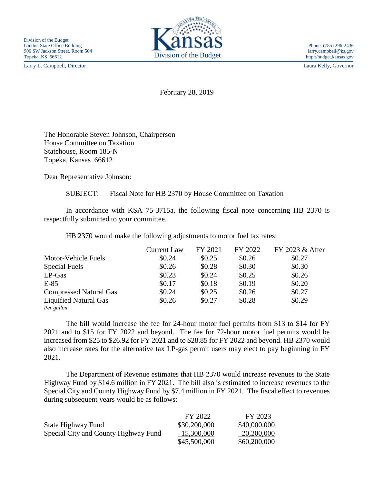Larry L. Campbell, Director Laura Kelly, Governor



February 28, 2019

The Honorable Steven Johnson, Chairperson House Committee on Taxation Statehouse, Room 185-N Topeka, Kansas 66612

Dear Representative Johnson:

SUBJECT: Fiscal Note for HB 2370 by House Committee on Taxation

In accordance with KSA 75-3715a, the following fiscal note concerning HB 2370 is respectfully submitted to your committee.

HB 2370 would make the following adjustments to motor fuel tax rates:

|                               | <b>Current Law</b> | FY 2021 | FY 2022 | FY 2023 & After |
|-------------------------------|--------------------|---------|---------|-----------------|
| Motor-Vehicle Fuels           | \$0.24             | \$0.25  | \$0.26  | \$0.27          |
| <b>Special Fuels</b>          | \$0.26             | \$0.28  | \$0.30  | \$0.30          |
| $LP-Gas$                      | \$0.23             | \$0.24  | \$0.25  | \$0.26          |
| $E-85$                        | \$0.17             | \$0.18  | \$0.19  | \$0.20          |
| <b>Compressed Natural Gas</b> | \$0.24             | \$0.25  | \$0.26  | \$0.27          |
| <b>Liquified Natural Gas</b>  | \$0.26             | \$0.27  | \$0.28  | \$0.29          |
| Per gallon                    |                    |         |         |                 |

The bill would increase the fee for 24-hour motor fuel permits from \$13 to \$14 for FY 2021 and to \$15 for FY 2022 and beyond. The fee for 72-hour motor fuel permits would be increased from \$25 to \$26.92 for FY 2021 and to \$28.85 for FY 2022 and beyond. HB 2370 would also increase rates for the alternative tax LP-gas permit users may elect to pay beginning in FY 2021.

The Department of Revenue estimates that HB 2370 would increase revenues to the State Highway Fund by \$14.6 million in FY 2021. The bill also is estimated to increase revenues to the Special City and County Highway Fund by \$7.4 million in FY 2021. The fiscal effect to revenues during subsequent years would be as follows:

|                                      | FY 2022      | FY 2023      |
|--------------------------------------|--------------|--------------|
| State Highway Fund                   | \$30,200,000 | \$40,000,000 |
| Special City and County Highway Fund | 15,300,000   | 20,200,000   |
|                                      | \$45,500,000 | \$60,200,000 |